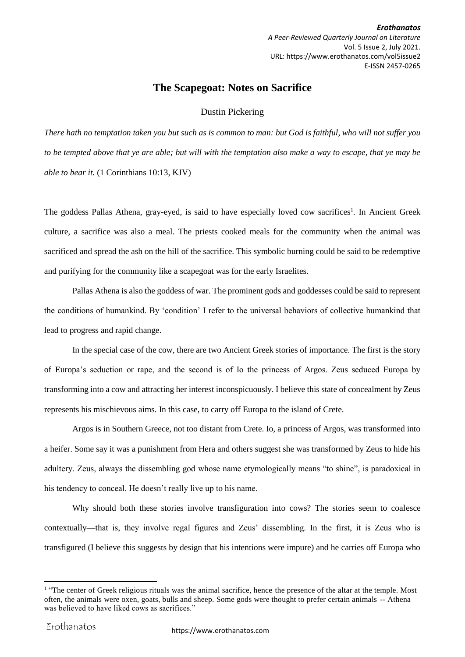*Erothanatos A Peer-Reviewed Quarterly Journal on Literature* Vol. 5 Issue 2, July 2021. URL: https://www.erothanatos.com/vol5issue2 E-ISSN 2457-0265

## **The Scapegoat: Notes on Sacrifice**

## Dustin Pickering

*There hath no temptation taken you but such as is common to man: but God is faithful, who will not suffer you to be tempted above that ye are able; but will with the temptation also make a way to escape, that ye may be able to bear it.* (1 Corinthians 10:13, KJV)

The goddess Pallas Athena, gray-eyed, is said to have especially loved cow sacrifices<sup>1</sup>. In Ancient Greek culture, a sacrifice was also a meal. The priests cooked meals for the community when the animal was sacrificed and spread the ash on the hill of the sacrifice. This symbolic burning could be said to be redemptive and purifying for the community like a scapegoat was for the early Israelites.

Pallas Athena is also the goddess of war. The prominent gods and goddesses could be said to represent the conditions of humankind. By 'condition' I refer to the universal behaviors of collective humankind that lead to progress and rapid change.

In the special case of the cow, there are two Ancient Greek stories of importance. The first is the story of Europa's seduction or rape, and the second is of Io the princess of Argos. Zeus seduced Europa by transforming into a cow and attracting her interest inconspicuously. I believe this state of concealment by Zeus represents his mischievous aims. In this case, to carry off Europa to the island of Crete.

Argos is in Southern Greece, not too distant from Crete. Io, a princess of Argos, was transformed into a heifer. Some say it was a punishment from Hera and others suggest she was transformed by Zeus to hide his adultery. Zeus, always the dissembling god whose name etymologically means "to shine", is paradoxical in his tendency to conceal. He doesn't really live up to his name.

Why should both these stories involve transfiguration into cows? The stories seem to coalesce contextually—that is, they involve regal figures and Zeus' dissembling. In the first, it is Zeus who is transfigured (I believe this suggests by design that his intentions were impure) and he carries off Europa who

 $\overline{a}$ 

<sup>&</sup>lt;sup>1</sup> "The center of Greek religious rituals was the animal sacrifice, hence the presence of the altar at the temple. Most often, the animals were oxen, goats, bulls and sheep. Some gods were thought to prefer certain animals -- Athena was believed to have liked cows as sacrifices."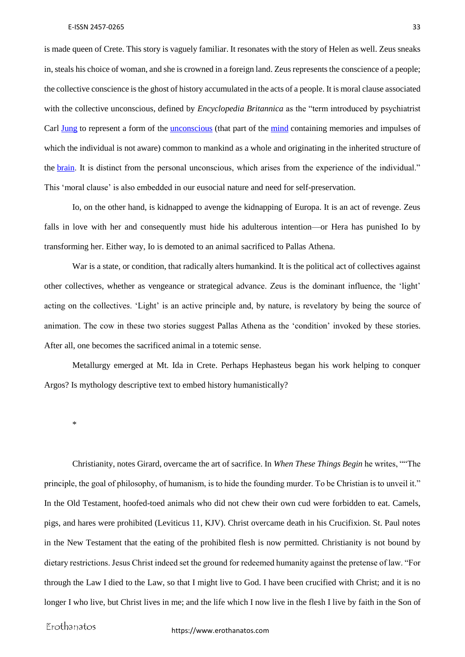is made queen of Crete. This story is vaguely familiar. It resonates with the story of Helen as well. Zeus sneaks in, steals his choice of woman, and she is crowned in a foreign land. Zeus represents the conscience of a people; the collective conscience is the ghost of history accumulated in the acts of a people. It is moral clause associated with the collective unconscious, defined by *Encyclopedia Britannica* as the "term introduced by psychiatrist Carl [Jung](https://www.britannica.com/biography/Carl-Jung) to represent a form of the [unconscious](https://www.britannica.com/science/unconscious) (that part of the [mind](https://www.britannica.com/topic/mind) containing memories and impulses of which the individual is not aware) common to mankind as a whole and originating in the inherited structure of the [brain.](https://www.britannica.com/science/brain) It is distinct from the personal unconscious, which arises from the experience of the individual." This 'moral clause' is also embedded in our eusocial nature and need for self-preservation.

Io, on the other hand, is kidnapped to avenge the kidnapping of Europa. It is an act of revenge. Zeus falls in love with her and consequently must hide his adulterous intention—or Hera has punished Io by transforming her. Either way, Io is demoted to an animal sacrificed to Pallas Athena.

War is a state, or condition, that radically alters humankind. It is the political act of collectives against other collectives, whether as vengeance or strategical advance. Zeus is the dominant influence, the 'light' acting on the collectives. 'Light' is an active principle and, by nature, is revelatory by being the source of animation. The cow in these two stories suggest Pallas Athena as the 'condition' invoked by these stories. After all, one becomes the sacrificed animal in a totemic sense.

Metallurgy emerged at Mt. Ida in Crete. Perhaps Hephasteus began his work helping to conquer Argos? Is mythology descriptive text to embed history humanistically?

\*

Christianity, notes Girard, overcame the art of sacrifice. In *When These Things Begin* he writes, ""The principle, the goal of philosophy, of humanism, is to hide the founding murder. To be Christian is to unveil it." In the Old Testament, hoofed-toed animals who did not chew their own cud were forbidden to eat. Camels, pigs, and hares were prohibited (Leviticus 11, KJV). Christ overcame death in his Crucifixion. St. Paul notes in the New Testament that the eating of the prohibited flesh is now permitted. Christianity is not bound by dietary restrictions. Jesus Christ indeed set the ground for redeemed humanity against the pretense of law. "For through the Law I died to the Law, so that I might live to God. I have been crucified with Christ; and it is no longer I who live, but Christ lives in me; and the life which I now live in the flesh I live by faith in the Son of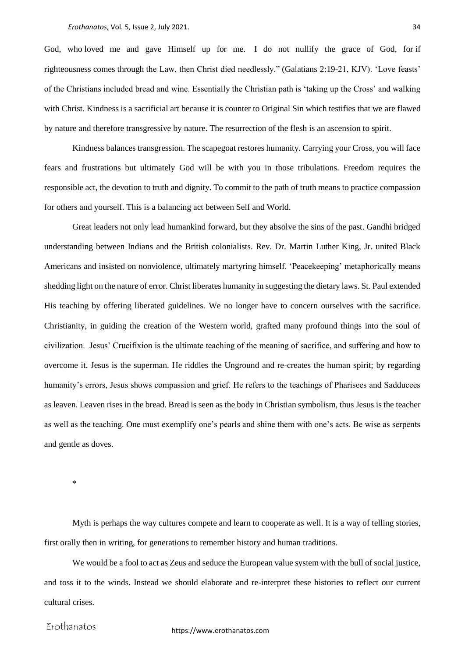God, who loved me and gave Himself up for me. I do not nullify the grace of God, for if righteousness comes through the Law, then Christ died needlessly." (Galatians 2:19-21, KJV). 'Love feasts' of the Christians included bread and wine. Essentially the Christian path is 'taking up the Cross' and walking with Christ. Kindness is a sacrificial art because it is counter to Original Sin which testifies that we are flawed by nature and therefore transgressive by nature. The resurrection of the flesh is an ascension to spirit.

Kindness balances transgression. The scapegoat restores humanity. Carrying your Cross, you will face fears and frustrations but ultimately God will be with you in those tribulations. Freedom requires the responsible act, the devotion to truth and dignity. To commit to the path of truth means to practice compassion for others and yourself. This is a balancing act between Self and World.

Great leaders not only lead humankind forward, but they absolve the sins of the past. Gandhi bridged understanding between Indians and the British colonialists. Rev. Dr. Martin Luther King, Jr. united Black Americans and insisted on nonviolence, ultimately martyring himself. 'Peacekeeping' metaphorically means shedding light on the nature of error. Christ liberates humanity in suggesting the dietary laws. St. Paul extended His teaching by offering liberated guidelines. We no longer have to concern ourselves with the sacrifice. Christianity, in guiding the creation of the Western world, grafted many profound things into the soul of civilization. Jesus' Crucifixion is the ultimate teaching of the meaning of sacrifice, and suffering and how to overcome it. Jesus is the superman. He riddles the Unground and re-creates the human spirit; by regarding humanity's errors, Jesus shows compassion and grief. He refers to the teachings of Pharisees and Sadducees as leaven. Leaven rises in the bread. Bread is seen as the body in Christian symbolism, thus Jesus is the teacher as well as the teaching. One must exemplify one's pearls and shine them with one's acts. Be wise as serpents and gentle as doves.

\*

Myth is perhaps the way cultures compete and learn to cooperate as well. It is a way of telling stories, first orally then in writing, for generations to remember history and human traditions.

We would be a fool to act as Zeus and seduce the European value system with the bull of social justice, and toss it to the winds. Instead we should elaborate and re-interpret these histories to reflect our current cultural crises.